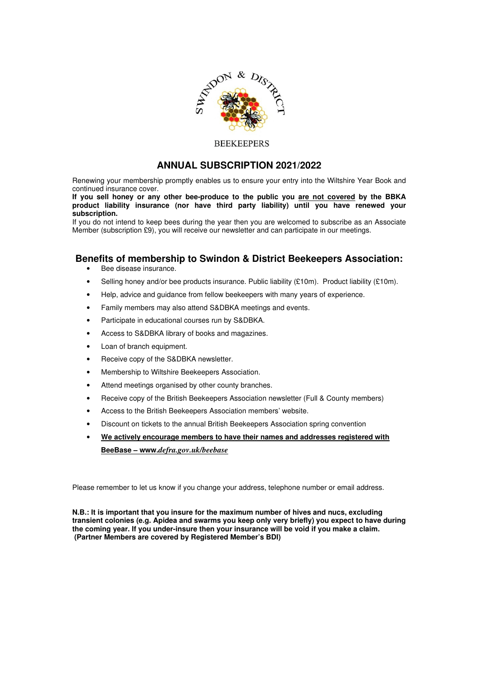

#### **BEEKEEPERS**

### **ANNUAL SUBSCRIPTION 2021/2022**

Renewing your membership promptly enables us to ensure your entry into the Wiltshire Year Book and continued insurance cover.

**If you sell honey or any other bee-produce to the public you are not covered by the BBKA product liability insurance (nor have third party liability) until you have renewed your subscription.** 

If you do not intend to keep bees during the year then you are welcomed to subscribe as an Associate Member (subscription £9), you will receive our newsletter and can participate in our meetings.

# **Benefits of membership to Swindon & District Beekeepers Association:**

- Bee disease insurance.
- Selling honey and/or bee products insurance. Public liability (£10m). Product liability (£10m).
- Help, advice and guidance from fellow beekeepers with many years of experience.
- Family members may also attend S&DBKA meetings and events.
- Participate in educational courses run by S&DBKA.
- Access to S&DBKA library of books and magazines.
- Loan of branch equipment.
- Receive copy of the S&DBKA newsletter.
- Membership to Wiltshire Beekeepers Association.
- Attend meetings organised by other county branches.
- Receive copy of the British Beekeepers Association newsletter (Full & County members)
- Access to the British Beekeepers Association members' website.
- Discount on tickets to the annual British Beekeepers Association spring convention
- **We actively encourage members to have their names and addresses registered with BeeBase – www.***defra.gov.uk/beebase*

Please remember to let us know if you change your address, telephone number or email address.

**N.B.: It is important that you insure for the maximum number of hives and nucs, excluding transient colonies (e.g. Apidea and swarms you keep only very briefly) you expect to have during the coming year. If you under-insure then your insurance will be void if you make a claim. (Partner Members are covered by Registered Member's BDI)**